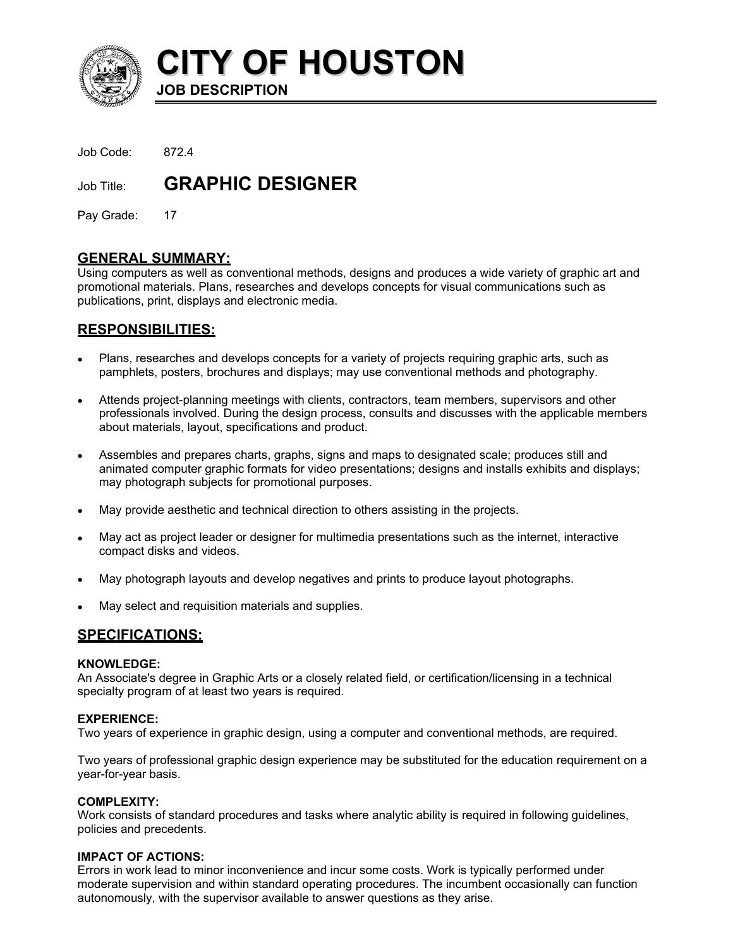

**CITY OF HOUSTON**

Job Code: 872.4

Job Title: **GRAPHIC DESIGNER** 

**JOB DESCRIPTION** 

Pay Grade: 17

# **GENERAL SUMMARY:**

Using computers as well as conventional methods, designs and produces a wide variety of graphic art and promotional materials. Plans, researches and develops concepts for visual communications such as publications, print, displays and electronic media.

# **RESPONSIBILITIES:**

- Plans, researches and develops concepts for a variety of projects requiring graphic arts, such as pamphlets, posters, brochures and displays; may use conventional methods and photography. •
- Attends project-planning meetings with clients, contractors, team members, supervisors and other professionals involved. During the design process, consults and discusses with the applicable members about materials, layout, specifications and product.
- Assembles and prepares charts, graphs, signs and maps to designated scale; produces still and animated computer graphic formats for video presentations; designs and installs exhibits and displays; may photograph subjects for promotional purposes.
- May provide aesthetic and technical direction to others assisting in the projects.
- May act as project leader or designer for multimedia presentations such as the internet, interactive compact disks and videos.
- May photograph layouts and develop negatives and prints to produce layout photographs.
- May select and requisition materials and supplies.

# **SPECIFICATIONS:**

## **KNOWLEDGE:**

An Associate's degree in Graphic Arts or a closely related field, or certification/licensing in a technical specialty program of at least two years is required.

# **EXPERIENCE:**

Two years of experience in graphic design, using a computer and conventional methods, are required.

Two years of professional graphic design experience may be substituted for the education requirement on a year-for-year basis.

## **COMPLEXITY:**

Work consists of standard procedures and tasks where analytic ability is required in following guidelines, policies and precedents.

# **IMPACT OF ACTIONS:**

Errors in work lead to minor inconvenience and incur some costs. Work is typically performed under moderate supervision and within standard operating procedures. The incumbent occasionally can function autonomously, with the supervisor available to answer questions as they arise.